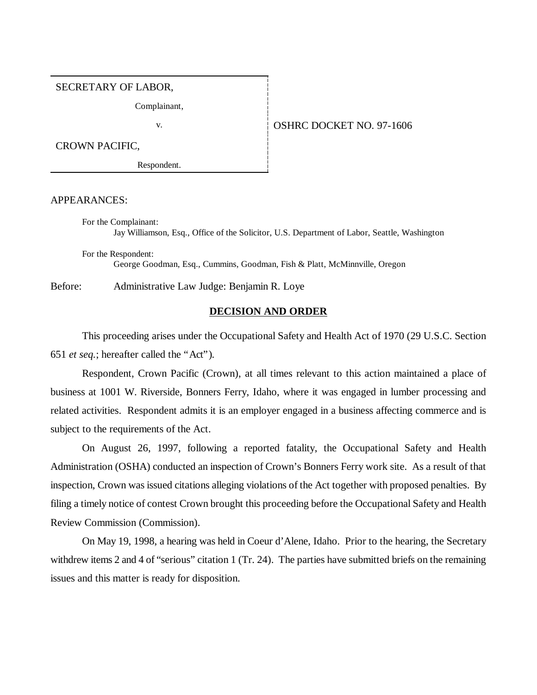#### SECRETARY OF LABOR,

Complainant,

#### v. 97-1606

CROWN PACIFIC,

Respondent.

APPEARANCES:

For the Complainant: Jay Williamson, Esq., Office of the Solicitor, U.S. Department of Labor, Seattle, Washington

For the Respondent: George Goodman, Esq., Cummins, Goodman, Fish & Platt, McMinnville, Oregon

Before: Administrative Law Judge: Benjamin R. Loye

# **DECISION AND ORDER**

This proceeding arises under the Occupational Safety and Health Act of 1970 (29 U.S.C. Section 651 *et seq.*; hereafter called the "Act").

Respondent, Crown Pacific (Crown), at all times relevant to this action maintained a place of business at 1001 W. Riverside, Bonners Ferry, Idaho, where it was engaged in lumber processing and related activities. Respondent admits it is an employer engaged in a business affecting commerce and is subject to the requirements of the Act.

On August 26, 1997, following a reported fatality, the Occupational Safety and Health Administration (OSHA) conducted an inspection of Crown's Bonners Ferry work site. As a result of that inspection, Crown was issued citations alleging violations of the Act together with proposed penalties. By filing a timely notice of contest Crown brought this proceeding before the Occupational Safety and Health Review Commission (Commission).

On May 19, 1998, a hearing was held in Coeur d'Alene, Idaho. Prior to the hearing, the Secretary withdrew items 2 and 4 of "serious" citation 1 (Tr. 24). The parties have submitted briefs on the remaining issues and this matter is ready for disposition.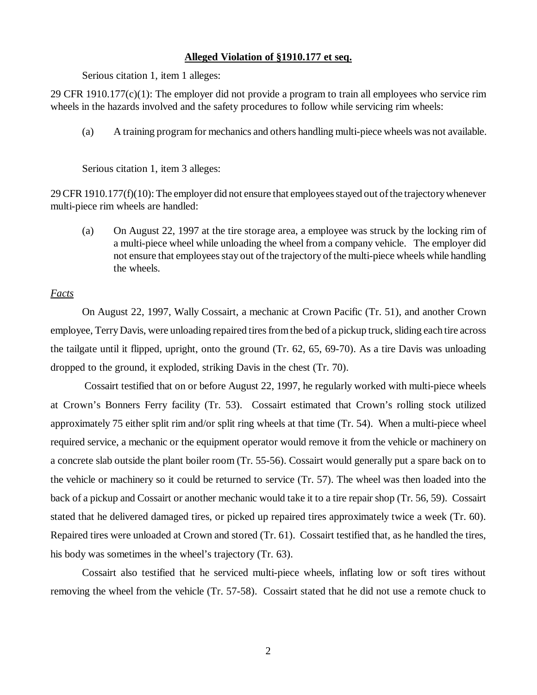# **Alleged Violation of §1910.177 et seq.**

Serious citation 1, item 1 alleges:

29 CFR 1910.177(c)(1): The employer did not provide a program to train all employees who service rim wheels in the hazards involved and the safety procedures to follow while servicing rim wheels:

(a) A training program for mechanics and others handling multi-piece wheels was not available.

Serious citation 1, item 3 alleges:

29 CFR 1910.177(f)(10): The employer did not ensure that employees stayed out of the trajectory whenever multi-piece rim wheels are handled:

(a) On August 22, 1997 at the tire storage area, a employee was struck by the locking rim of a multi-piece wheel while unloading the wheel from a company vehicle. The employer did not ensure that employees stay out of the trajectory of the multi-piece wheels while handling the wheels.

### *Facts*

On August 22, 1997, Wally Cossairt, a mechanic at Crown Pacific (Tr. 51), and another Crown employee, Terry Davis, were unloading repaired tires from the bed of a pickup truck, sliding each tire across the tailgate until it flipped, upright, onto the ground (Tr. 62, 65, 69-70). As a tire Davis was unloading dropped to the ground, it exploded, striking Davis in the chest (Tr. 70).

 Cossairt testified that on or before August 22, 1997, he regularly worked with multi-piece wheels at Crown's Bonners Ferry facility (Tr. 53). Cossairt estimated that Crown's rolling stock utilized approximately 75 either split rim and/or split ring wheels at that time (Tr. 54). When a multi-piece wheel required service, a mechanic or the equipment operator would remove it from the vehicle or machinery on a concrete slab outside the plant boiler room (Tr. 55-56). Cossairt would generally put a spare back on to the vehicle or machinery so it could be returned to service (Tr. 57). The wheel was then loaded into the back of a pickup and Cossairt or another mechanic would take it to a tire repair shop (Tr. 56, 59). Cossairt stated that he delivered damaged tires, or picked up repaired tires approximately twice a week (Tr. 60). Repaired tires were unloaded at Crown and stored (Tr. 61). Cossairt testified that, as he handled the tires, his body was sometimes in the wheel's trajectory (Tr. 63).

Cossairt also testified that he serviced multi-piece wheels, inflating low or soft tires without removing the wheel from the vehicle (Tr. 57-58). Cossairt stated that he did not use a remote chuck to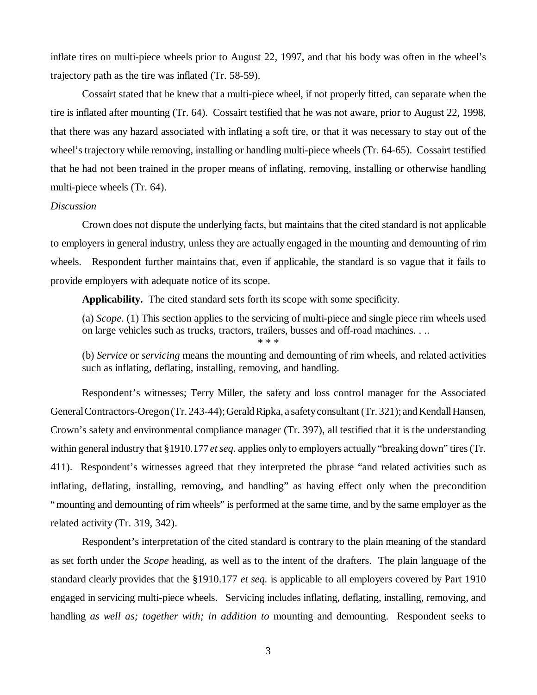inflate tires on multi-piece wheels prior to August 22, 1997, and that his body was often in the wheel's trajectory path as the tire was inflated (Tr. 58-59).

Cossairt stated that he knew that a multi-piece wheel, if not properly fitted, can separate when the tire is inflated after mounting (Tr. 64). Cossairt testified that he was not aware, prior to August 22, 1998, that there was any hazard associated with inflating a soft tire, or that it was necessary to stay out of the wheel's trajectory while removing, installing or handling multi-piece wheels (Tr. 64-65). Cossairt testified that he had not been trained in the proper means of inflating, removing, installing or otherwise handling multi-piece wheels (Tr. 64).

#### *Discussion*

Crown does not dispute the underlying facts, but maintains that the cited standard is not applicable to employers in general industry, unless they are actually engaged in the mounting and demounting of rim wheels. Respondent further maintains that, even if applicable, the standard is so vague that it fails to provide employers with adequate notice of its scope.

**Applicability.** The cited standard sets forth its scope with some specificity.

(a) *Scope*. (1) This section applies to the servicing of multi-piece and single piece rim wheels used on large vehicles such as trucks, tractors, trailers, busses and off-road machines. . ..

\* \* \* (b) *Service* or *servicing* means the mounting and demounting of rim wheels, and related activities such as inflating, deflating, installing, removing, and handling.

Respondent's witnesses; Terry Miller, the safety and loss control manager for the Associated General Contractors-Oregon (Tr. 243-44); Gerald Ripka, a safety consultant (Tr. 321); and Kendall Hansen, Crown's safety and environmental compliance manager (Tr. 397), all testified that it is the understanding within general industry that §1910.177 *et seq.* applies only to employers actually "breaking down" tires (Tr. 411). Respondent's witnesses agreed that they interpreted the phrase "and related activities such as inflating, deflating, installing, removing, and handling" as having effect only when the precondition "mounting and demounting of rim wheels" is performed at the same time, and by the same employer as the related activity (Tr. 319, 342).

Respondent's interpretation of the cited standard is contrary to the plain meaning of the standard as set forth under the *Scope* heading, as well as to the intent of the drafters. The plain language of the standard clearly provides that the §1910.177 *et seq.* is applicable to all employers covered by Part 1910 engaged in servicing multi-piece wheels. Servicing includes inflating, deflating, installing, removing, and handling *as well as; together with; in addition to* mounting and demounting. Respondent seeks to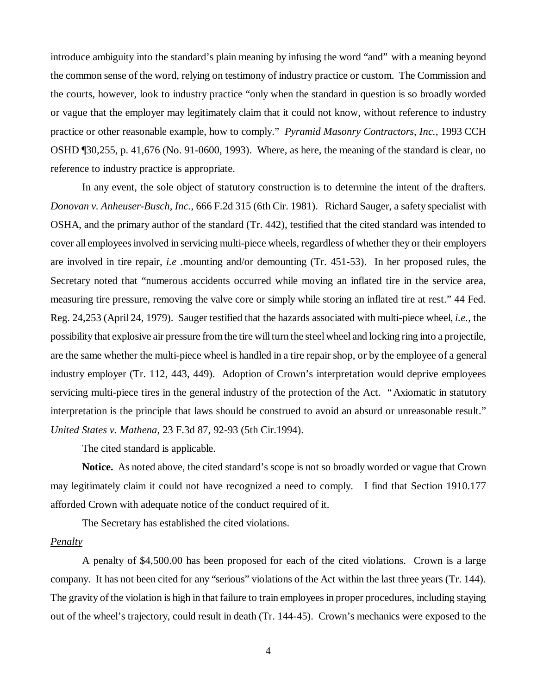introduce ambiguity into the standard's plain meaning by infusing the word "and" with a meaning beyond the common sense of the word, relying on testimony of industry practice or custom. The Commission and the courts, however, look to industry practice "only when the standard in question is so broadly worded or vague that the employer may legitimately claim that it could not know, without reference to industry practice or other reasonable example, how to comply." *Pyramid Masonry Contractors, Inc.,* 1993 CCH OSHD ¶30,255, p. 41,676 (No. 91-0600, 1993). Where, as here, the meaning of the standard is clear, no reference to industry practice is appropriate.

 In any event, the sole object of statutory construction is to determine the intent of the drafters. *Donovan v. Anheuser-Busch, Inc.*, 666 F.2d 315 (6th Cir. 1981). Richard Sauger, a safety specialist with OSHA, and the primary author of the standard (Tr. 442), testified that the cited standard was intended to cover all employees involved in servicing multi-piece wheels, regardless of whether they or their employers are involved in tire repair, *i.e .*mounting and/or demounting (Tr. 451-53). In her proposed rules, the Secretary noted that "numerous accidents occurred while moving an inflated tire in the service area, measuring tire pressure, removing the valve core or simply while storing an inflated tire at rest." 44 Fed. Reg. 24,253 (April 24, 1979). Sauger testified that the hazards associated with multi-piece wheel, *i.e.,* the possibility that explosive air pressure from the tire will turn the steel wheel and locking ring into a projectile, are the same whether the multi-piece wheel is handled in a tire repair shop, or by the employee of a general industry employer (Tr. 112, 443, 449). Adoption of Crown's interpretation would deprive employees servicing multi-piece tires in the general industry of the protection of the Act. "Axiomatic in statutory interpretation is the principle that laws should be construed to avoid an absurd or unreasonable result." *United States v. Mathena*, 23 F.3d 87, 92-93 (5th Cir.1994).

The cited standard is applicable.

**Notice.** As noted above, the cited standard's scope is not so broadly worded or vague that Crown may legitimately claim it could not have recognized a need to comply. I find that Section 1910.177 afforded Crown with adequate notice of the conduct required of it.

The Secretary has established the cited violations.

## *Penalty*

A penalty of \$4,500.00 has been proposed for each of the cited violations. Crown is a large company. It has not been cited for any "serious" violations of the Act within the last three years (Tr. 144). The gravity of the violation is high in that failure to train employees in proper procedures, including staying out of the wheel's trajectory, could result in death (Tr. 144-45). Crown's mechanics were exposed to the